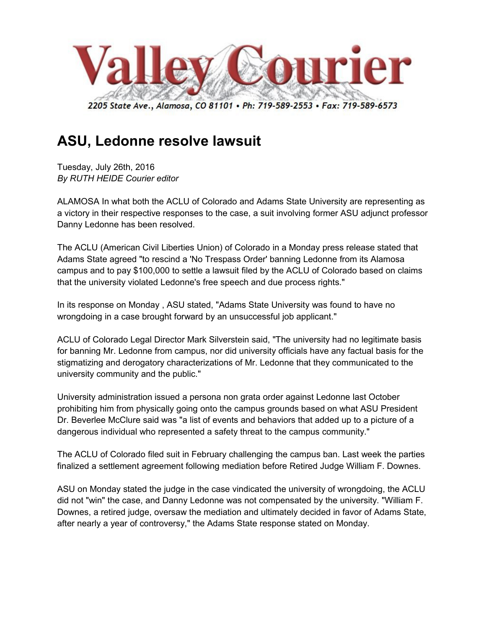

## **ASU, Ledonne resolve lawsuit**

Tuesday, July 26th, 2016 *By RUTH HEIDE Courier editor* 

ALAMOSA In what both the ACLU of Colorado and Adams State University are representing as a victory in their respective responses to the case, a suit involving former ASU adjunct professor Danny Ledonne has been resolved.

The ACLU (American Civil Liberties Union) of Colorado in a Monday press release stated that Adams State agreed "to rescind a 'No Trespass Order' banning Ledonne from its Alamosa campus and to pay \$100,000 to settle a lawsuit filed by the ACLU of Colorado based on claims that the university violated Ledonne's free speech and due process rights."

In its response on Monday , ASU stated, "Adams State University was found to have no wrongdoing in a case brought forward by an unsuccessful job applicant."

ACLU of Colorado Legal Director Mark Silverstein said, "The university had no legitimate basis for banning Mr. Ledonne from campus, nor did university officials have any factual basis for the stigmatizing and derogatory characterizations of Mr. Ledonne that they communicated to the university community and the public."

University administration issued a persona non grata order against Ledonne last October prohibiting him from physically going onto the campus grounds based on what ASU President Dr. Beverlee McClure said was "a list of events and behaviors that added up to a picture of a dangerous individual who represented a safety threat to the campus community."

The ACLU of Colorado filed suit in February challenging the campus ban. Last week the parties finalized a settlement agreement following mediation before Retired Judge William F. Downes.

ASU on Monday stated the judge in the case vindicated the university of wrongdoing, the ACLU did not "win" the case, and Danny Ledonne was not compensated by the university. "William F. Downes, a retired judge, oversaw the mediation and ultimately decided in favor of Adams State, after nearly a year of controversy," the Adams State response stated on Monday.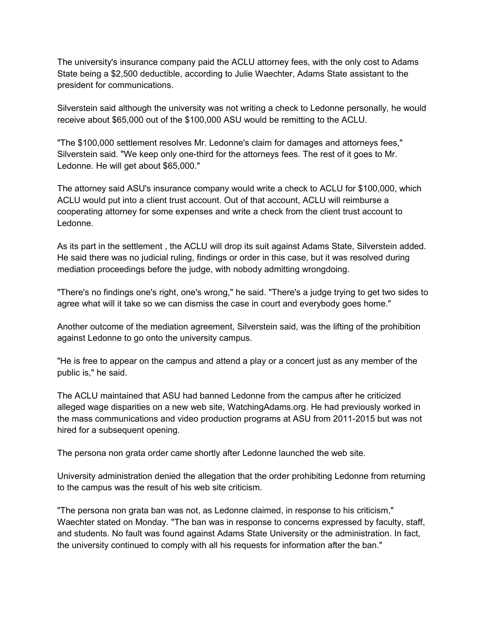The university's insurance company paid the ACLU attorney fees, with the only cost to Adams State being a \$2,500 deductible, according to Julie Waechter, Adams State assistant to the president for communications.

Silverstein said although the university was not writing a check to Ledonne personally, he would receive about \$65,000 out of the \$100,000 ASU would be remitting to the ACLU.

"The \$100,000 settlement resolves Mr. Ledonne's claim for damages and attorneys fees," Silverstein said. "We keep only one-third for the attorneys fees. The rest of it goes to Mr. Ledonne. He will get about \$65,000."

The attorney said ASU's insurance company would write a check to ACLU for \$100,000, which ACLU would put into a client trust account. Out of that account, ACLU will reimburse a cooperating attorney for some expenses and write a check from the client trust account to Ledonne.

As its part in the settlement , the ACLU will drop its suit against Adams State, Silverstein added. He said there was no judicial ruling, findings or order in this case, but it was resolved during mediation proceedings before the judge, with nobody admitting wrongdoing.

"There's no findings one's right, one's wrong," he said. "There's a judge trying to get two sides to agree what will it take so we can dismiss the case in court and everybody goes home."

Another outcome of the mediation agreement, Silverstein said, was the lifting of the prohibition against Ledonne to go onto the university campus.

"He is free to appear on the campus and attend a play or a concert just as any member of the public is," he said.

The ACLU maintained that ASU had banned Ledonne from the campus after he criticized alleged wage disparities on a new web site, WatchingAdams.org. He had previously worked in the mass communications and video production programs at ASU from 2011-2015 but was not hired for a subsequent opening.

The persona non grata order came shortly after Ledonne launched the web site.

University administration denied the allegation that the order prohibiting Ledonne from returning to the campus was the result of his web site criticism.

"The persona non grata ban was not, as Ledonne claimed, in response to his criticism," Waechter stated on Monday. "The ban was in response to concerns expressed by faculty, staff, and students. No fault was found against Adams State University or the administration. In fact, the university continued to comply with all his requests for information after the ban."